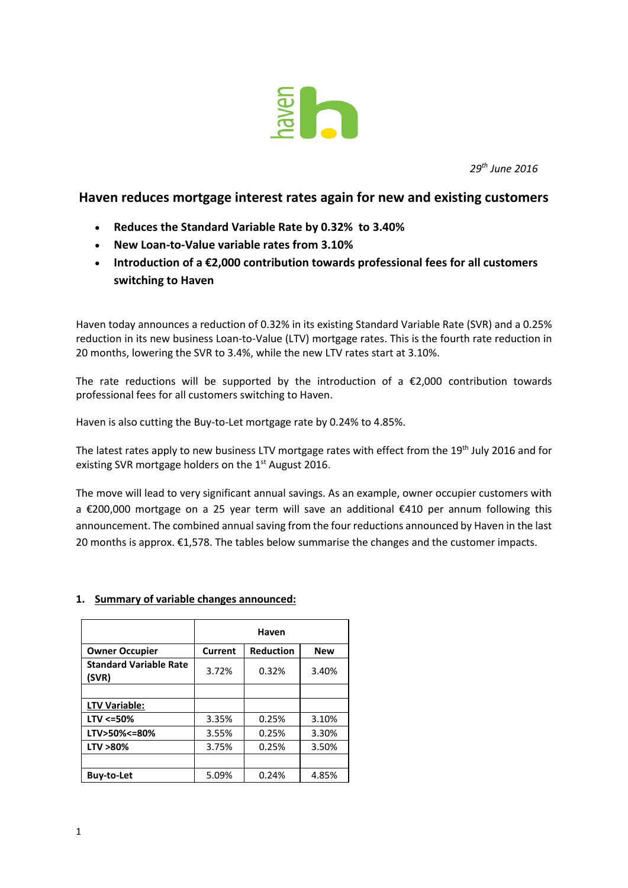

*29 th June 2016*

## **Haven reduces mortgage interest rates again for new and existing customers**

- **Reduces the Standard Variable Rate by 0.32% to 3.40%**
- **New Loan-to-Value variable rates from 3.10%**
- **Introduction of a €2,000 contribution towards professional fees for all customers switching to Haven**

Haven today announces a reduction of 0.32% in its existing Standard Variable Rate (SVR) and a 0.25% reduction in its new business Loan-to-Value (LTV) mortgage rates. This is the fourth rate reduction in 20 months, lowering the SVR to 3.4%, while the new LTV rates start at 3.10%.

The rate reductions will be supported by the introduction of a  $\epsilon$ 2,000 contribution towards professional fees for all customers switching to Haven.

Haven is also cutting the Buy-to-Let mortgage rate by 0.24% to 4.85%.

The latest rates apply to new business LTV mortgage rates with effect from the 19<sup>th</sup> July 2016 and for existing SVR mortgage holders on the  $1<sup>st</sup>$  August 2016.

The move will lead to very significant annual savings. As an example, owner occupier customers with a €200,000 mortgage on a 25 year term will save an additional €410 per annum following this announcement. The combined annual saving from the four reductions announced by Haven in the last 20 months is approx.  $\epsilon$ 1,578. The tables below summarise the changes and the customer impacts.

## **1. Summary of variable changes announced:**

|                                        | Haven          |                  |            |  |  |
|----------------------------------------|----------------|------------------|------------|--|--|
| <b>Owner Occupier</b>                  | <b>Current</b> | <b>Reduction</b> | <b>New</b> |  |  |
| <b>Standard Variable Rate</b><br>(SVR) | 3.72%          | 0.32%            | 3.40%      |  |  |
|                                        |                |                  |            |  |  |
| LTV Variable:                          |                |                  |            |  |  |
| $LTV < = 50\%$                         | 3.35%          | 0.25%            | 3.10%      |  |  |
| LTV>50%<=80%                           | 3.55%          | 0.25%            | 3.30%      |  |  |
| LTV >80%                               | 3.75%          | 0.25%            | 3.50%      |  |  |
|                                        |                |                  |            |  |  |
| <b>Buy-to-Let</b>                      | 5.09%          | 0.24%            | 4.85%      |  |  |